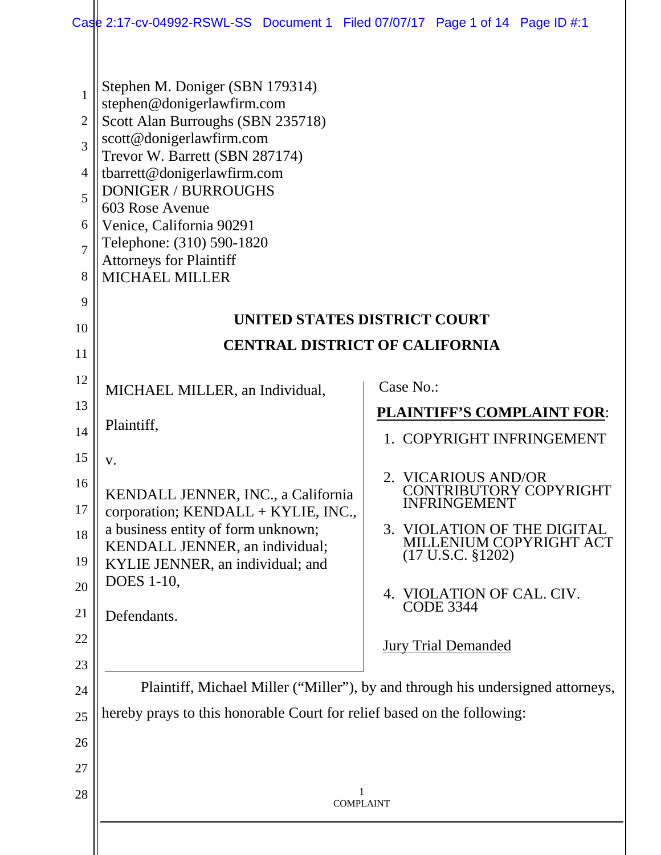|                                                                             | Case 2:17-cv-04992-RSWL-SS Document 1 Filed 07/07/17 Page 1 of 14 Page ID #:1                                                                                                                                                                                                                                                                                        |                                                                                                                                                                       |  |  |  |  |  |  |
|-----------------------------------------------------------------------------|----------------------------------------------------------------------------------------------------------------------------------------------------------------------------------------------------------------------------------------------------------------------------------------------------------------------------------------------------------------------|-----------------------------------------------------------------------------------------------------------------------------------------------------------------------|--|--|--|--|--|--|
| 1<br>2<br>$\overline{3}$<br>$\overline{4}$<br>5<br>6<br>$\overline{7}$<br>8 | Stephen M. Doniger (SBN 179314)<br>stephen@donigerlawfirm.com<br>Scott Alan Burroughs (SBN 235718)<br>scott@donigerlawfirm.com<br>Trevor W. Barrett (SBN 287174)<br>tbarrett@donigerlawfirm.com<br><b>DONIGER / BURROUGHS</b><br>603 Rose Avenue<br>Venice, California 90291<br>Telephone: (310) 590-1820<br><b>Attorneys for Plaintiff</b><br><b>MICHAEL MILLER</b> |                                                                                                                                                                       |  |  |  |  |  |  |
| 9                                                                           | UNITED STATES DISTRICT COURT                                                                                                                                                                                                                                                                                                                                         |                                                                                                                                                                       |  |  |  |  |  |  |
| 10<br>11                                                                    | <b>CENTRAL DISTRICT OF CALIFORNIA</b>                                                                                                                                                                                                                                                                                                                                |                                                                                                                                                                       |  |  |  |  |  |  |
| 12                                                                          |                                                                                                                                                                                                                                                                                                                                                                      | Case No.:                                                                                                                                                             |  |  |  |  |  |  |
| 13                                                                          | MICHAEL MILLER, an Individual,                                                                                                                                                                                                                                                                                                                                       |                                                                                                                                                                       |  |  |  |  |  |  |
| 14                                                                          | Plaintiff,                                                                                                                                                                                                                                                                                                                                                           | <b>PLAINTIFF'S COMPLAINT FOR:</b><br>1. COPYRIGHT INFRINGEMENT                                                                                                        |  |  |  |  |  |  |
| 15                                                                          | V.                                                                                                                                                                                                                                                                                                                                                                   |                                                                                                                                                                       |  |  |  |  |  |  |
| 16<br>17<br>18<br>19                                                        | KENDALL JENNER, INC., a California<br>corporation; KENDALL + KYLIE, INC.,<br>a business entity of form unknown;<br>KENDALL JENNER, an individual;<br>KYLIE JENNER, an individual; and                                                                                                                                                                                | 2. VICARIOUS AND/OR<br><b>CONTRIBUTORY COPYRIGHT</b><br><b>INFRINGEMENT</b><br>3. VIOLATION OF THE DIGITAL<br>MILLENIUM COPYRIGHT ACT<br>$(17 \text{ U.S.C. } $1202)$ |  |  |  |  |  |  |
| 20<br>21                                                                    | DOES 1-10,                                                                                                                                                                                                                                                                                                                                                           | 4. VIOLATION OF CAL. CIV.<br><b>CODE 3344</b>                                                                                                                         |  |  |  |  |  |  |
| 22                                                                          | Defendants.                                                                                                                                                                                                                                                                                                                                                          |                                                                                                                                                                       |  |  |  |  |  |  |
| 23                                                                          |                                                                                                                                                                                                                                                                                                                                                                      | <b>Jury Trial Demanded</b>                                                                                                                                            |  |  |  |  |  |  |
| 24                                                                          | Plaintiff, Michael Miller ("Miller"), by and through his undersigned attorneys,                                                                                                                                                                                                                                                                                      |                                                                                                                                                                       |  |  |  |  |  |  |
| 25                                                                          | hereby prays to this honorable Court for relief based on the following:                                                                                                                                                                                                                                                                                              |                                                                                                                                                                       |  |  |  |  |  |  |
| 26                                                                          |                                                                                                                                                                                                                                                                                                                                                                      |                                                                                                                                                                       |  |  |  |  |  |  |
| 27                                                                          |                                                                                                                                                                                                                                                                                                                                                                      |                                                                                                                                                                       |  |  |  |  |  |  |
| 28                                                                          | 1<br><b>COMPLAINT</b>                                                                                                                                                                                                                                                                                                                                                |                                                                                                                                                                       |  |  |  |  |  |  |
|                                                                             |                                                                                                                                                                                                                                                                                                                                                                      |                                                                                                                                                                       |  |  |  |  |  |  |
|                                                                             |                                                                                                                                                                                                                                                                                                                                                                      |                                                                                                                                                                       |  |  |  |  |  |  |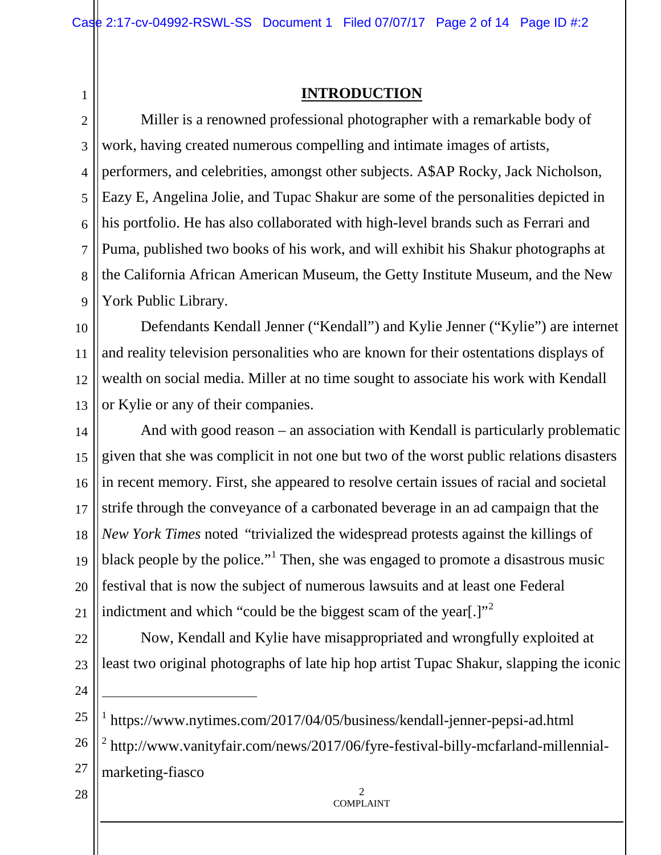## 1

### **INTRODUCTION**

2 3 4 5 6 7 8 9 Miller is a renowned professional photographer with a remarkable body of work, having created numerous compelling and intimate images of artists, performers, and celebrities, amongst other subjects. A\$AP Rocky, Jack Nicholson, Eazy E, Angelina Jolie, and Tupac Shakur are some of the personalities depicted in his portfolio. He has also collaborated with high-level brands such as Ferrari and Puma, published two books of his work, and will exhibit his Shakur photographs at the California African American Museum, the Getty Institute Museum, and the New York Public Library.

10 11 12 13 Defendants Kendall Jenner ("Kendall") and Kylie Jenner ("Kylie") are internet and reality television personalities who are known for their ostentations displays of wealth on social media. Miller at no time sought to associate his work with Kendall or Kylie or any of their companies.

14 15 16 17 18 19 20 21 And with good reason – an association with Kendall is particularly problematic given that she was complicit in not one but two of the worst public relations disasters in recent memory. First, she appeared to resolve certain issues of racial and societal strife through the conveyance of a carbonated beverage in an ad campaign that the *New York Times* noted "trivialized the widespread protests against the killings of black people by the police."<sup>[1](#page-1-0)</sup> Then, she was engaged to promote a disastrous music festival that is now the subject of numerous lawsuits and at least one Federal indictment and which "could be the biggest scam of the year.]"

22

23 Now, Kendall and Kylie have misappropriated and wrongfully exploited at least two original photographs of late hip hop artist Tupac Shakur, slapping the iconic

24

28

<span id="page-1-1"></span><span id="page-1-0"></span>25 26 27 -<sup>1</sup> https://www.nytimes.com/2017/04/05/business/kendall-jenner-pepsi-ad.html <sup>2</sup> http://www.vanityfair.com/news/2017/06/fyre-festival-billy-mcfarland-millennialmarketing-fiasco

> $\mathfrak{D}$ COMPLAINT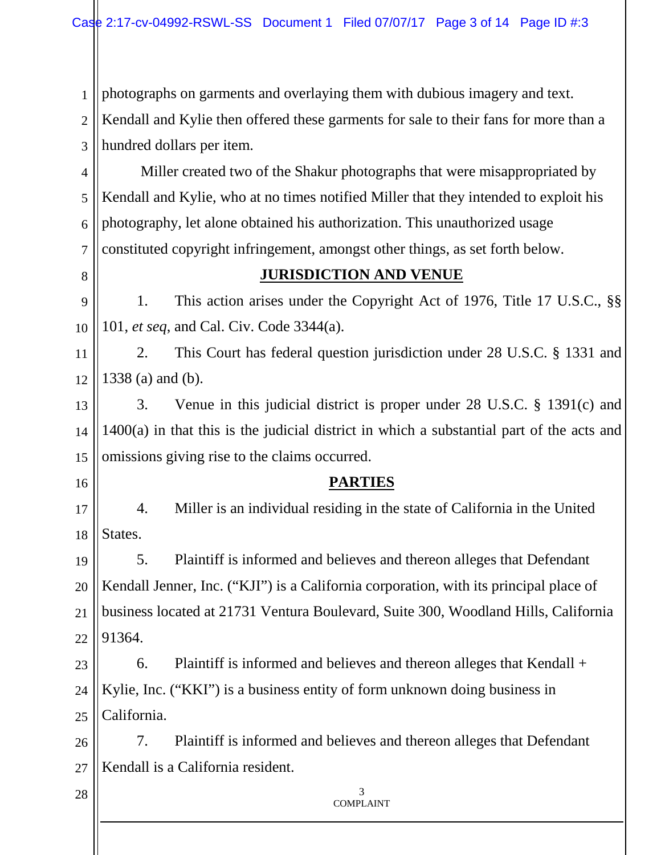1 photographs on garments and overlaying them with dubious imagery and text.

2 3 Kendall and Kylie then offered these garments for sale to their fans for more than a hundred dollars per item.

4 5 6 7 Miller created two of the Shakur photographs that were misappropriated by Kendall and Kylie, who at no times notified Miller that they intended to exploit his photography, let alone obtained his authorization. This unauthorized usage constituted copyright infringement, amongst other things, as set forth below.

8

#### **JURISDICTION AND VENUE**

9 10 1. This action arises under the Copyright Act of 1976, Title 17 U.S.C., §§ 101, *et seq*, and Cal. Civ. Code 3344(a).

11 12 2. This Court has federal question jurisdiction under 28 U.S.C. § 1331 and 1338 (a) and (b).

13 14 15 3. Venue in this judicial district is proper under 28 U.S.C. § 1391(c) and 1400(a) in that this is the judicial district in which a substantial part of the acts and omissions giving rise to the claims occurred.

16

28

### **PARTIES**

17 18 4. Miller is an individual residing in the state of California in the United States.

19 20 21 22 5. Plaintiff is informed and believes and thereon alleges that Defendant Kendall Jenner, Inc. ("KJI") is a California corporation, with its principal place of business located at 21731 Ventura Boulevard, Suite 300, Woodland Hills, California 91364.

23 24 25 6. Plaintiff is informed and believes and thereon alleges that Kendall + Kylie, Inc. ("KKI") is a business entity of form unknown doing business in California.

26 27 7. Plaintiff is informed and believes and thereon alleges that Defendant Kendall is a California resident.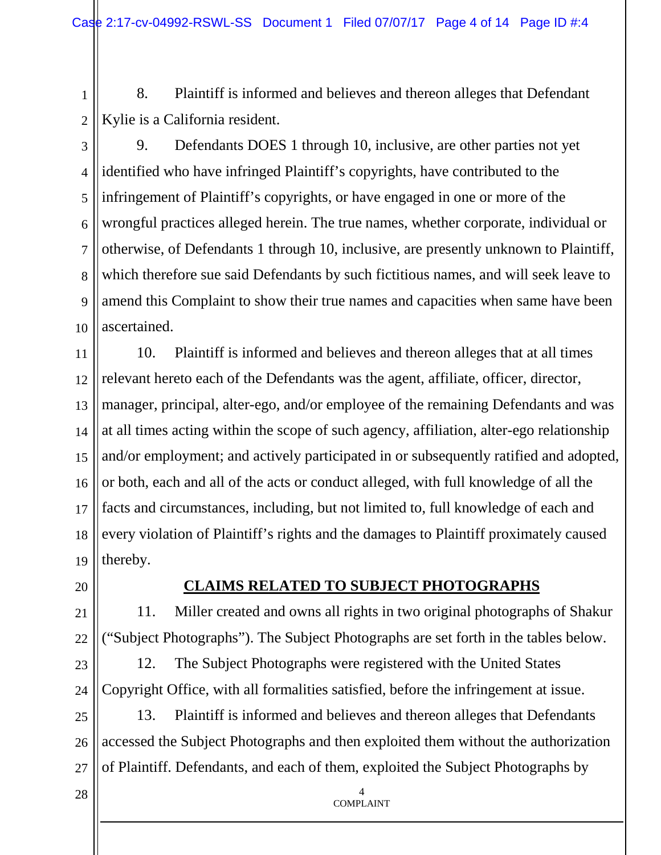1 2 8. Plaintiff is informed and believes and thereon alleges that Defendant Kylie is a California resident.

3 4 5 6 7 8 9 10 9. Defendants DOES 1 through 10, inclusive, are other parties not yet identified who have infringed Plaintiff's copyrights, have contributed to the infringement of Plaintiff's copyrights, or have engaged in one or more of the wrongful practices alleged herein. The true names, whether corporate, individual or otherwise, of Defendants 1 through 10, inclusive, are presently unknown to Plaintiff, which therefore sue said Defendants by such fictitious names, and will seek leave to amend this Complaint to show their true names and capacities when same have been ascertained.

11 12 13 14 15 16 17 18 19 10. Plaintiff is informed and believes and thereon alleges that at all times relevant hereto each of the Defendants was the agent, affiliate, officer, director, manager, principal, alter-ego, and/or employee of the remaining Defendants and was at all times acting within the scope of such agency, affiliation, alter-ego relationship and/or employment; and actively participated in or subsequently ratified and adopted, or both, each and all of the acts or conduct alleged, with full knowledge of all the facts and circumstances, including, but not limited to, full knowledge of each and every violation of Plaintiff's rights and the damages to Plaintiff proximately caused thereby.

20

28

# **CLAIMS RELATED TO SUBJECT PHOTOGRAPHS**

21 22 11. Miller created and owns all rights in two original photographs of Shakur ("Subject Photographs"). The Subject Photographs are set forth in the tables below.

23 24 12. The Subject Photographs were registered with the United States Copyright Office, with all formalities satisfied, before the infringement at issue.

25 26 27 13. Plaintiff is informed and believes and thereon alleges that Defendants accessed the Subject Photographs and then exploited them without the authorization of Plaintiff. Defendants, and each of them, exploited the Subject Photographs by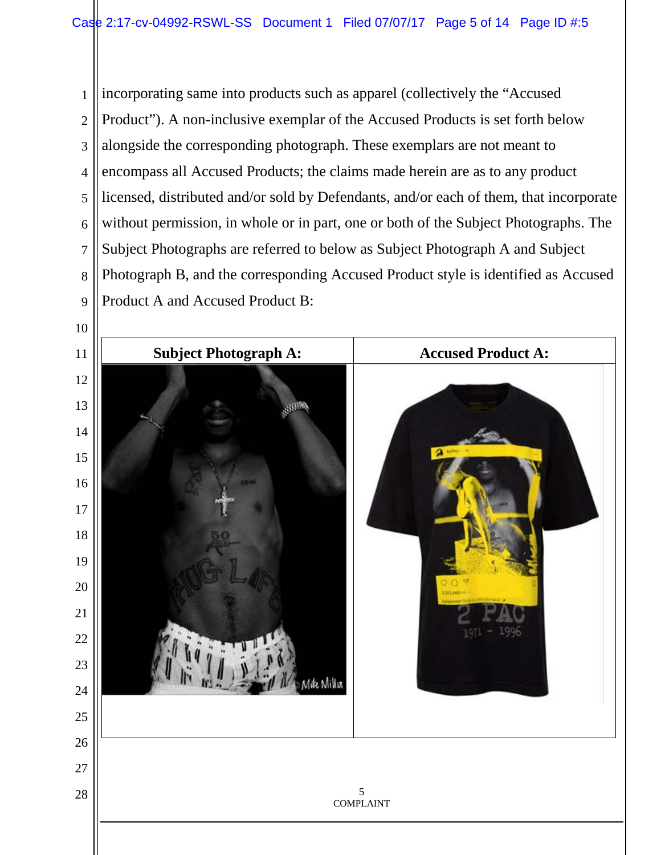incorporating same into products such as apparel (collectively the "Accused Product"). A non-inclusive exemplar of the Accused Products is set forth below alongside the corresponding photograph. These exemplars are not meant to encompass all Accused Products; the claims made herein are as to any product licensed, distributed and/or sold by Defendants, and/or each of them, that incorporate without permission, in whole or in part, one or both of the Subject Photographs. The Subject Photographs are referred to below as Subject Photograph A and Subject Photograph B, and the corresponding Accused Product style is identified as Accused Product A and Accused Product B:

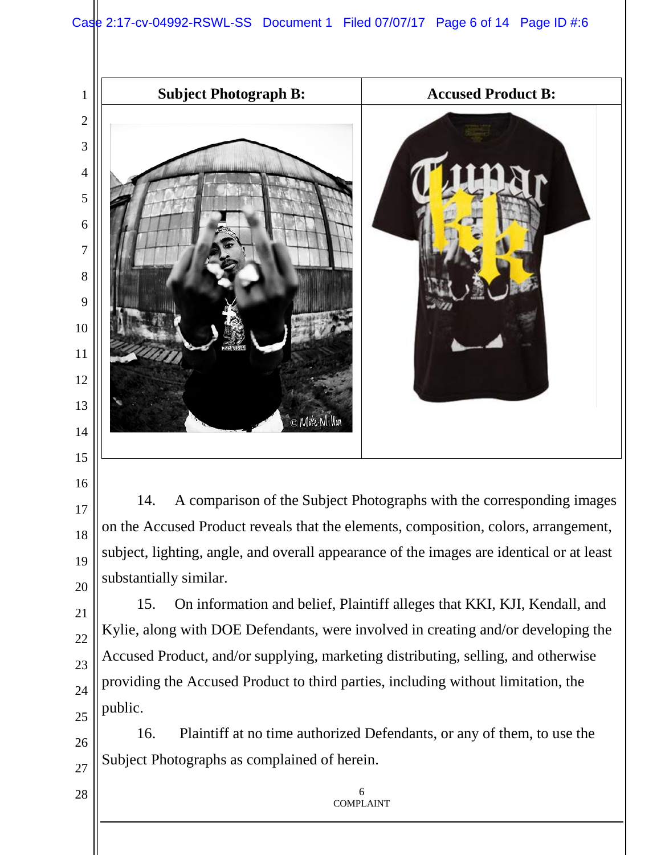

14. A comparison of the Subject Photographs with the corresponding images on the Accused Product reveals that the elements, composition, colors, arrangement, subject, lighting, angle, and overall appearance of the images are identical or at least substantially similar.

15. On information and belief, Plaintiff alleges that KKI, KJI, Kendall, and Kylie, along with DOE Defendants, were involved in creating and/or developing the Accused Product, and/or supplying, marketing distributing, selling, and otherwise providing the Accused Product to third parties, including without limitation, the public.

 16. Plaintiff at no time authorized Defendants, or any of them, to use the Subject Photographs as complained of herein.

> COMPLAINT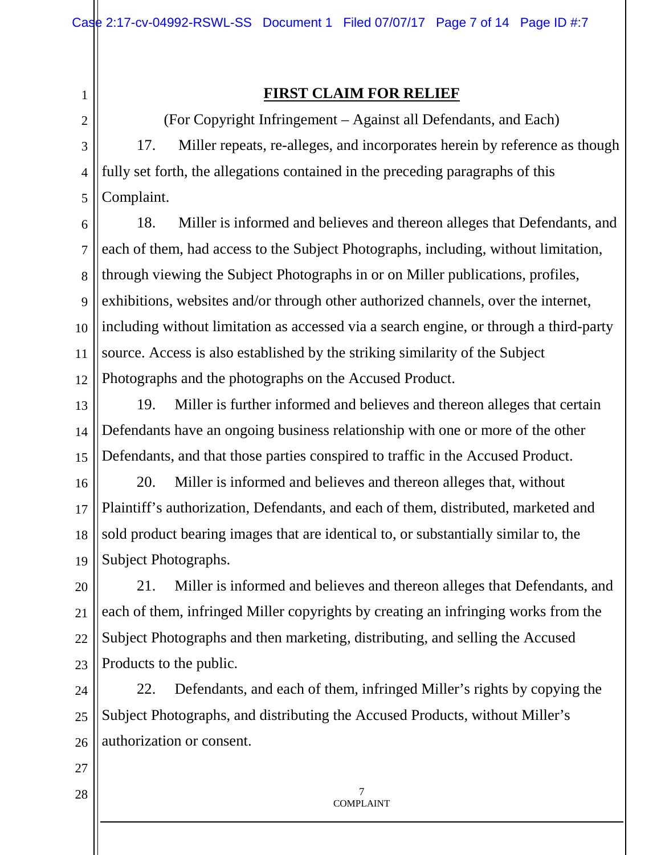1 2

3

4

5

# **FIRST CLAIM FOR RELIEF**

(For Copyright Infringement – Against all Defendants, and Each) 17. Miller repeats, re-alleges, and incorporates herein by reference as though fully set forth, the allegations contained in the preceding paragraphs of this Complaint.

6 7 8 9 10 11 12 18. Miller is informed and believes and thereon alleges that Defendants, and each of them, had access to the Subject Photographs, including, without limitation, through viewing the Subject Photographs in or on Miller publications, profiles, exhibitions, websites and/or through other authorized channels, over the internet, including without limitation as accessed via a search engine, or through a third-party source. Access is also established by the striking similarity of the Subject Photographs and the photographs on the Accused Product.

13 14 15 19. Miller is further informed and believes and thereon alleges that certain Defendants have an ongoing business relationship with one or more of the other Defendants, and that those parties conspired to traffic in the Accused Product.

16 17 18 19 20. Miller is informed and believes and thereon alleges that, without Plaintiff's authorization, Defendants, and each of them, distributed, marketed and sold product bearing images that are identical to, or substantially similar to, the Subject Photographs.

20 21 22 23 21. Miller is informed and believes and thereon alleges that Defendants, and each of them, infringed Miller copyrights by creating an infringing works from the Subject Photographs and then marketing, distributing, and selling the Accused Products to the public.

24 25 26 22. Defendants, and each of them, infringed Miller's rights by copying the Subject Photographs, and distributing the Accused Products, without Miller's authorization or consent.

27

28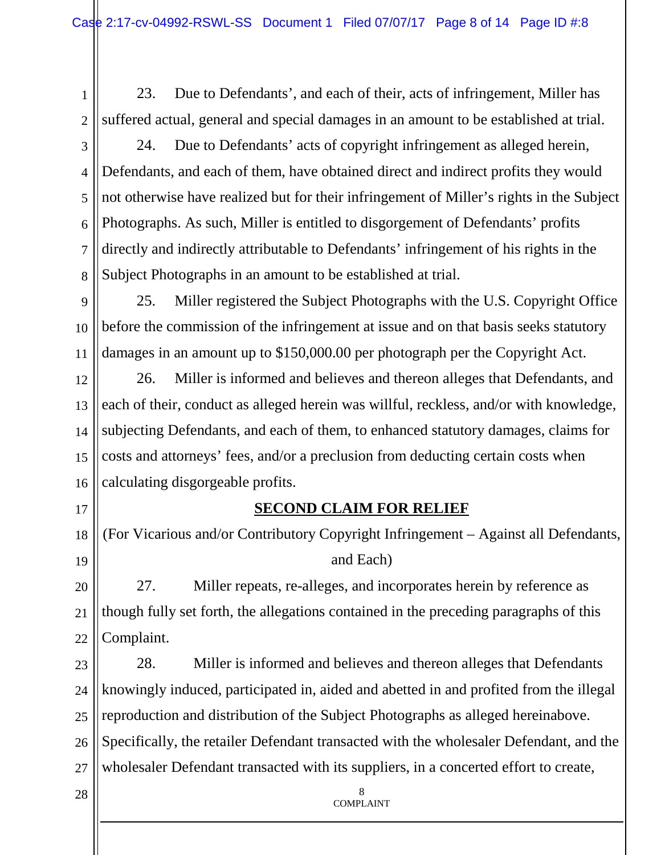1

23. Due to Defendants', and each of their, acts of infringement, Miller has suffered actual, general and special damages in an amount to be established at trial.

2

3 4 5 6 7 8 24. Due to Defendants' acts of copyright infringement as alleged herein, Defendants, and each of them, have obtained direct and indirect profits they would not otherwise have realized but for their infringement of Miller's rights in the Subject Photographs. As such, Miller is entitled to disgorgement of Defendants' profits directly and indirectly attributable to Defendants' infringement of his rights in the Subject Photographs in an amount to be established at trial.

9 10 11 25. Miller registered the Subject Photographs with the U.S. Copyright Office before the commission of the infringement at issue and on that basis seeks statutory damages in an amount up to \$150,000.00 per photograph per the Copyright Act.

12 13 14 15 16 26. Miller is informed and believes and thereon alleges that Defendants, and each of their, conduct as alleged herein was willful, reckless, and/or with knowledge, subjecting Defendants, and each of them, to enhanced statutory damages, claims for costs and attorneys' fees, and/or a preclusion from deducting certain costs when calculating disgorgeable profits.

17

## **SECOND CLAIM FOR RELIEF**

18 19 (For Vicarious and/or Contributory Copyright Infringement – Against all Defendants, and Each)

20 21 22 27. Miller repeats, re-alleges, and incorporates herein by reference as though fully set forth, the allegations contained in the preceding paragraphs of this Complaint.

23 24 25 26 27 28. Miller is informed and believes and thereon alleges that Defendants knowingly induced, participated in, aided and abetted in and profited from the illegal reproduction and distribution of the Subject Photographs as alleged hereinabove. Specifically, the retailer Defendant transacted with the wholesaler Defendant, and the wholesaler Defendant transacted with its suppliers, in a concerted effort to create,

> 8 COMPLAINT

28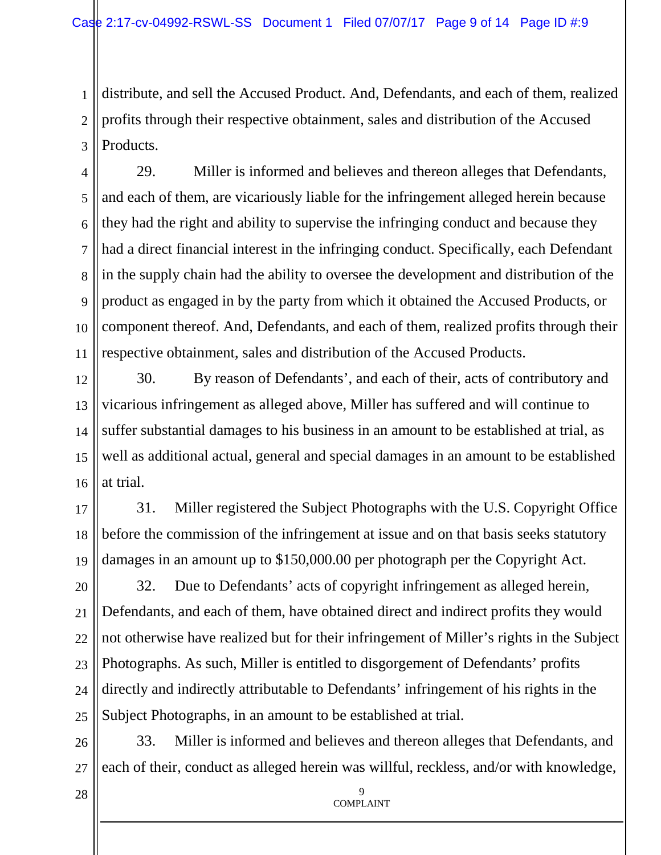1 2 3 distribute, and sell the Accused Product. And, Defendants, and each of them, realized profits through their respective obtainment, sales and distribution of the Accused Products.

4 5 6 7 8 9 10 11 29. Miller is informed and believes and thereon alleges that Defendants, and each of them, are vicariously liable for the infringement alleged herein because they had the right and ability to supervise the infringing conduct and because they had a direct financial interest in the infringing conduct. Specifically, each Defendant in the supply chain had the ability to oversee the development and distribution of the product as engaged in by the party from which it obtained the Accused Products, or component thereof. And, Defendants, and each of them, realized profits through their respective obtainment, sales and distribution of the Accused Products.

12 13 14 15 16 30. By reason of Defendants', and each of their, acts of contributory and vicarious infringement as alleged above, Miller has suffered and will continue to suffer substantial damages to his business in an amount to be established at trial, as well as additional actual, general and special damages in an amount to be established at trial.

17 18 19 31. Miller registered the Subject Photographs with the U.S. Copyright Office before the commission of the infringement at issue and on that basis seeks statutory damages in an amount up to \$150,000.00 per photograph per the Copyright Act.

20 21 22 23 24 25 32. Due to Defendants' acts of copyright infringement as alleged herein, Defendants, and each of them, have obtained direct and indirect profits they would not otherwise have realized but for their infringement of Miller's rights in the Subject Photographs. As such, Miller is entitled to disgorgement of Defendants' profits directly and indirectly attributable to Defendants' infringement of his rights in the Subject Photographs, in an amount to be established at trial.

26 27 33. Miller is informed and believes and thereon alleges that Defendants, and each of their, conduct as alleged herein was willful, reckless, and/or with knowledge,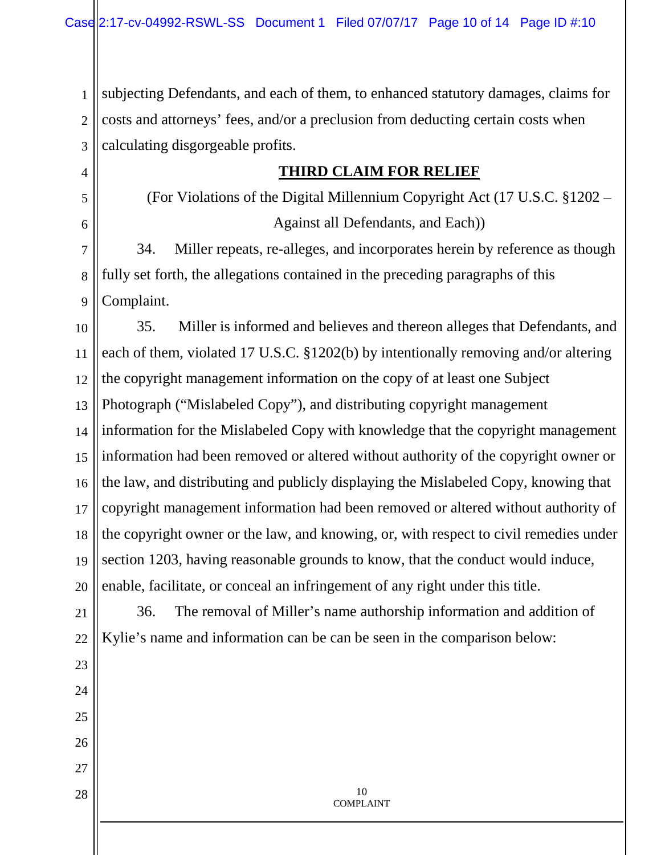1 2 3 subjecting Defendants, and each of them, to enhanced statutory damages, claims for costs and attorneys' fees, and/or a preclusion from deducting certain costs when calculating disgorgeable profits.

4

5

6

23

24

25

26

27

28

## **THIRD CLAIM FOR RELIEF**

(For Violations of the Digital Millennium Copyright Act (17 U.S.C. §1202 – Against all Defendants, and Each))

7 8 9 34. Miller repeats, re-alleges, and incorporates herein by reference as though fully set forth, the allegations contained in the preceding paragraphs of this Complaint.

10 11 12 13 14 15 16 17 18 19 20 35. Miller is informed and believes and thereon alleges that Defendants, and each of them, violated 17 U.S.C. §1202(b) by intentionally removing and/or altering the copyright management information on the copy of at least one Subject Photograph ("Mislabeled Copy"), and distributing copyright management information for the Mislabeled Copy with knowledge that the copyright management information had been removed or altered without authority of the copyright owner or the law, and distributing and publicly displaying the Mislabeled Copy, knowing that copyright management information had been removed or altered without authority of the copyright owner or the law, and knowing, or, with respect to civil remedies under section 1203, having reasonable grounds to know, that the conduct would induce, enable, facilitate, or conceal an infringement of any right under this title.

21 22 36. The removal of Miller's name authorship information and addition of Kylie's name and information can be can be seen in the comparison below: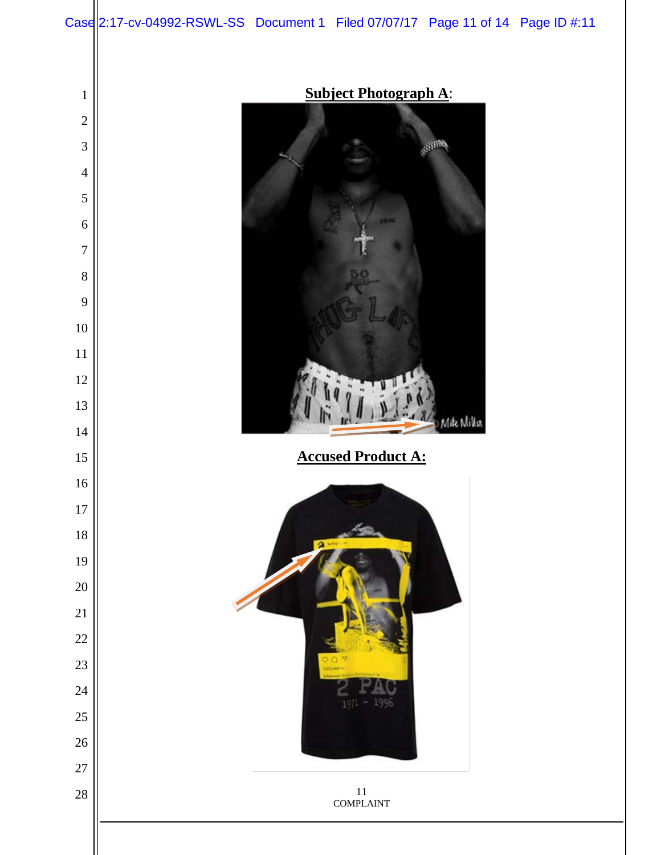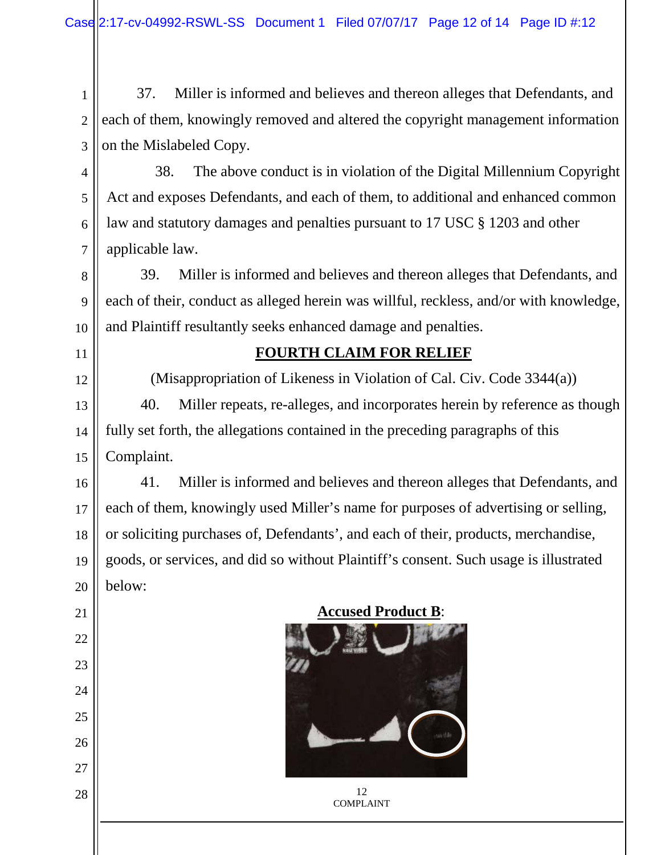1 2 3 37. Miller is informed and believes and thereon alleges that Defendants, and each of them, knowingly removed and altered the copyright management information on the Mislabeled Copy.

4 5 6 7 38. The above conduct is in violation of the Digital Millennium Copyright Act and exposes Defendants, and each of them, to additional and enhanced common law and statutory damages and penalties pursuant to 17 USC § 1203 and other applicable law.

8 9 10 39. Miller is informed and believes and thereon alleges that Defendants, and each of their, conduct as alleged herein was willful, reckless, and/or with knowledge, and Plaintiff resultantly seeks enhanced damage and penalties.

11

12

21

22

23

24

25

26

27

28

## **FOURTH CLAIM FOR RELIEF**

(Misappropriation of Likeness in Violation of Cal. Civ. Code 3344(a))

13 14 15 40. Miller repeats, re-alleges, and incorporates herein by reference as though fully set forth, the allegations contained in the preceding paragraphs of this Complaint.

16 17 18 19 20 41. Miller is informed and believes and thereon alleges that Defendants, and each of them, knowingly used Miller's name for purposes of advertising or selling, or soliciting purchases of, Defendants', and each of their, products, merchandise, goods, or services, and did so without Plaintiff's consent. Such usage is illustrated below:

**Accused Product B**: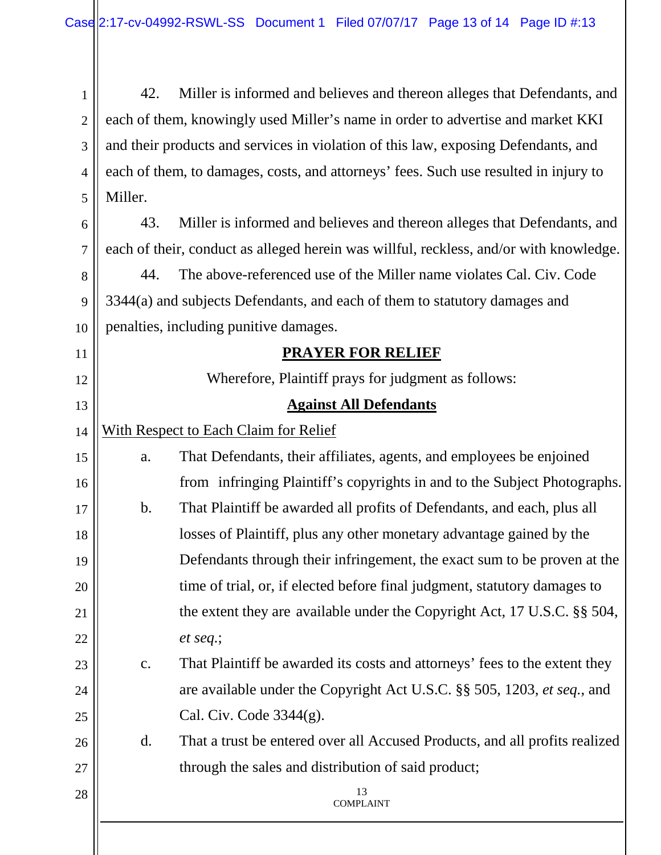13 COMPLAINT 1 2 3 4 5 6 7 8 9 10 11 12 13 14 15 16 17 18 19 20 21 22 23 24 25 26 27 28 42. Miller is informed and believes and thereon alleges that Defendants, and each of them, knowingly used Miller's name in order to advertise and market KKI and their products and services in violation of this law, exposing Defendants, and each of them, to damages, costs, and attorneys' fees. Such use resulted in injury to Miller. 43. Miller is informed and believes and thereon alleges that Defendants, and each of their, conduct as alleged herein was willful, reckless, and/or with knowledge. 44. The above-referenced use of the Miller name violates Cal. Civ. Code 3344(a) and subjects Defendants, and each of them to statutory damages and penalties, including punitive damages. **PRAYER FOR RELIEF** Wherefore, Plaintiff prays for judgment as follows: **Against All Defendants** With Respect to Each Claim for Relief a. That Defendants, their affiliates, agents, and employees be enjoined from infringing Plaintiff's copyrights in and to the Subject Photographs. b. That Plaintiff be awarded all profits of Defendants, and each, plus all losses of Plaintiff, plus any other monetary advantage gained by the Defendants through their infringement, the exact sum to be proven at the time of trial, or, if elected before final judgment, statutory damages to the extent they are available under the Copyright Act, 17 U.S.C. §§ 504, *et seq.*; c. That Plaintiff be awarded its costs and attorneys' fees to the extent they are available under the Copyright Act U.S.C. §§ 505, 1203, *et seq.*, and Cal. Civ. Code 3344(g). d. That a trust be entered over all Accused Products, and all profits realized through the sales and distribution of said product;